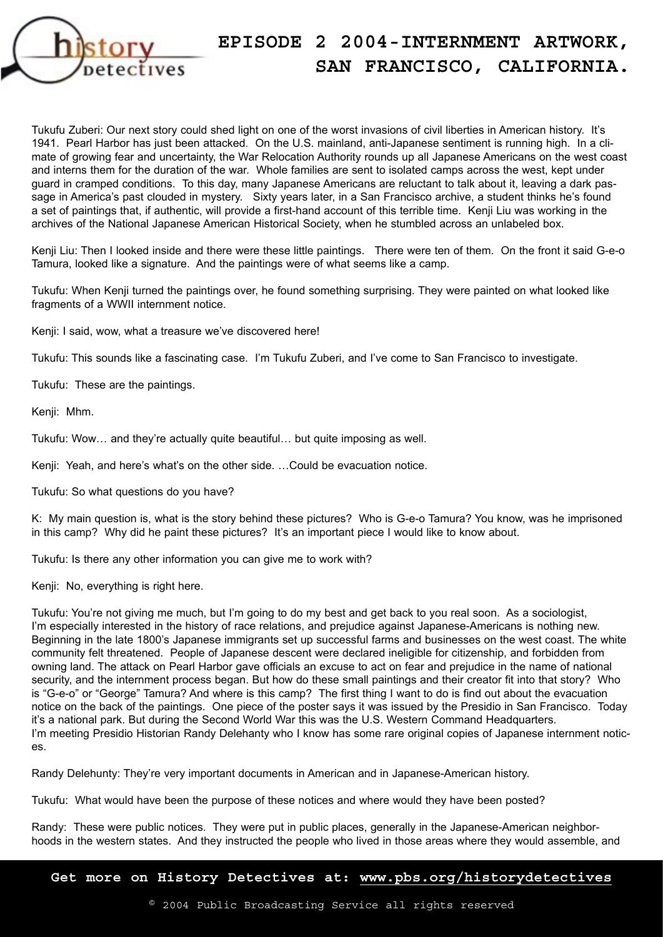

Tukufu Zuberi: Our next story could shed light on one of the worst invasions of civil liberties in American history. It's 1941. Pearl Harbor has just been attacked. On the U.S. mainland, anti-Japanese sentiment is running high. In a climate of growing fear and uncertainty, the War Relocation Authority rounds up all Japanese Americans on the west coast and interns them for the duration of the war. Whole families are sent to isolated camps across the west, kept under guard in cramped conditions. To this day, many Japanese Americans are reluctant to talk about it, leaving a dark passage in America's past clouded in mystery. Sixty years later, in a San Francisco archive, a student thinks he's found a set of paintings that, if authentic, will provide a first-hand account of this terrible time. Kenji Liu was working in the archives of the National Japanese American Historical Society, when he stumbled across an unlabeled box.

Kenji Liu: Then I looked inside and there were these little paintings. There were ten of them. On the front it said G-e-o Tamura, looked like a signature. And the paintings were of what seems like a camp.

Tukufu: When Kenji turned the paintings over, he found something surprising. They were painted on what looked like fragments of a WWII internment notice.

Kenji: I said, wow, what a treasure we've discovered here!

Tukufu: This sounds like a fascinating case. I'm Tukufu Zuberi, and I've come to San Francisco to investigate.

Tukufu: These are the paintings.

Kenji: Mhm.

Tukufu: Wow… and they're actually quite beautiful… but quite imposing as well.

Kenji: Yeah, and here's what's on the other side. …Could be evacuation notice.

Tukufu: So what questions do you have?

K: My main question is, what is the story behind these pictures? Who is G-e-o Tamura? You know, was he imprisoned in this camp? Why did he paint these pictures? It's an important piece I would like to know about.

Tukufu: Is there any other information you can give me to work with?

Kenji: No, everything is right here.

Tukufu: You're not giving me much, but I'm going to do my best and get back to you real soon. As a sociologist, I'm especially interested in the history of race relations, and prejudice against Japanese-Americans is nothing new. Beginning in the late 1800's Japanese immigrants set up successful farms and businesses on the west coast. The white community felt threatened. People of Japanese descent were declared ineligible for citizenship, and forbidden from owning land. The attack on Pearl Harbor gave officials an excuse to act on fear and prejudice in the name of national security, and the internment process began. But how do these small paintings and their creator fit into that story? Who is "G-e-o" or "George" Tamura? And where is this camp? The first thing I want to do is find out about the evacuation notice on the back of the paintings. One piece of the poster says it was issued by the Presidio in San Francisco. Today it's a national park. But during the Second World War this was the U.S. Western Command Headquarters. I'm meeting Presidio Historian Randy Delehanty who I know has some rare original copies of Japanese internment notices.

Randy Delehunty: They're very important documents in American and in Japanese-American history.

Tukufu: What would have been the purpose of these notices and where would they have been posted?

Randy: These were public notices. They were put in public places, generally in the Japanese-American neighborhoods in the western states. And they instructed the people who lived in those areas where they would assemble, and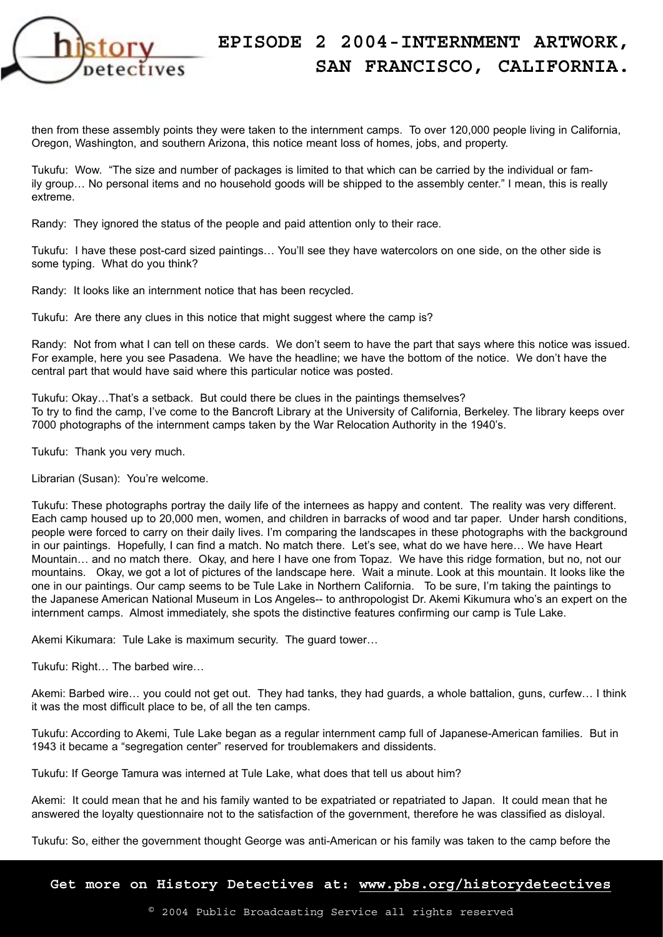

then from these assembly points they were taken to the internment camps. To over 120,000 people living in California, Oregon, Washington, and southern Arizona, this notice meant loss of homes, jobs, and property.

Tukufu: Wow. "The size and number of packages is limited to that which can be carried by the individual or family group… No personal items and no household goods will be shipped to the assembly center." I mean, this is really extreme.

Randy: They ignored the status of the people and paid attention only to their race.

Tukufu: I have these post-card sized paintings… You'll see they have watercolors on one side, on the other side is some typing. What do you think?

Randy: It looks like an internment notice that has been recycled.

Tukufu: Are there any clues in this notice that might suggest where the camp is?

Randy: Not from what I can tell on these cards. We don't seem to have the part that says where this notice was issued. For example, here you see Pasadena. We have the headline; we have the bottom of the notice. We don't have the central part that would have said where this particular notice was posted.

Tukufu: Okay…That's a setback. But could there be clues in the paintings themselves? To try to find the camp, I've come to the Bancroft Library at the University of California, Berkeley. The library keeps over 7000 photographs of the internment camps taken by the War Relocation Authority in the 1940's.

Tukufu: Thank you very much.

Librarian (Susan): You're welcome.

Tukufu: These photographs portray the daily life of the internees as happy and content. The reality was very different. Each camp housed up to 20,000 men, women, and children in barracks of wood and tar paper. Under harsh conditions, people were forced to carry on their daily lives. I'm comparing the landscapes in these photographs with the background in our paintings. Hopefully, I can find a match. No match there. Let's see, what do we have here… We have Heart Mountain… and no match there. Okay, and here I have one from Topaz. We have this ridge formation, but no, not our mountains. Okay, we got a lot of pictures of the landscape here. Wait a minute. Look at this mountain. It looks like the one in our paintings. Our camp seems to be Tule Lake in Northern California. To be sure, I'm taking the paintings to the Japanese American National Museum in Los Angeles-- to anthropologist Dr. Akemi Kikumura who's an expert on the internment camps. Almost immediately, she spots the distinctive features confirming our camp is Tule Lake.

Akemi Kikumara: Tule Lake is maximum security. The guard tower…

Tukufu: Right… The barbed wire…

Akemi: Barbed wire… you could not get out. They had tanks, they had guards, a whole battalion, guns, curfew… I think it was the most difficult place to be, of all the ten camps.

Tukufu: According to Akemi, Tule Lake began as a regular internment camp full of Japanese-American families. But in 1943 it became a "segregation center" reserved for troublemakers and dissidents.

Tukufu: If George Tamura was interned at Tule Lake, what does that tell us about him?

Akemi: It could mean that he and his family wanted to be expatriated or repatriated to Japan. It could mean that he answered the loyalty questionnaire not to the satisfaction of the government, therefore he was classified as disloyal.

Tukufu: So, either the government thought George was anti-American or his family was taken to the camp before the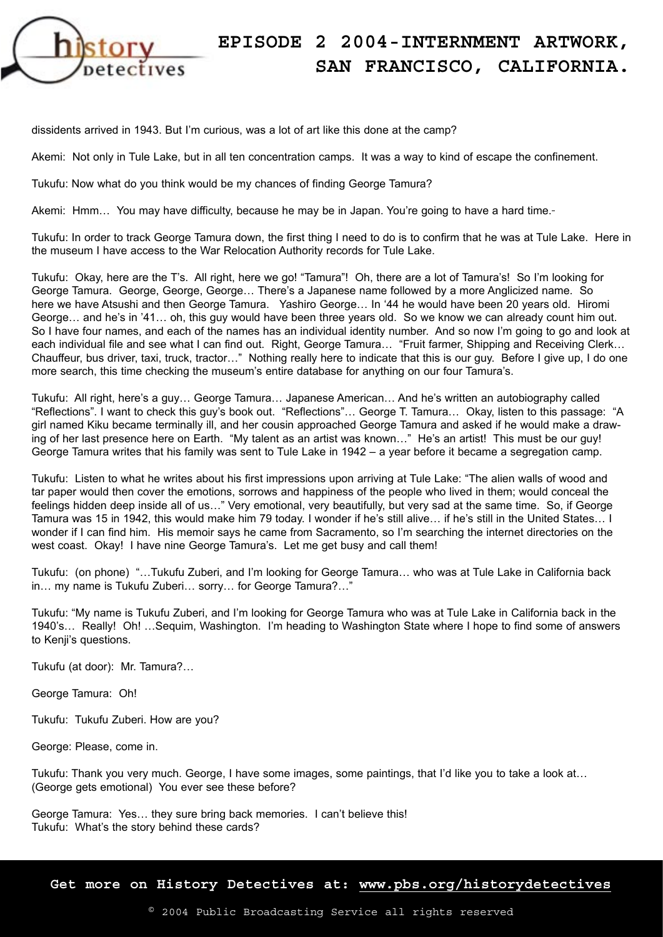

dissidents arrived in 1943. But I'm curious, was a lot of art like this done at the camp?

Akemi: Not only in Tule Lake, but in all ten concentration camps. It was a way to kind of escape the confinement.

Tukufu: Now what do you think would be my chances of finding George Tamura?

Akemi: Hmm... You may have difficulty, because he may be in Japan. You're going to have a hard time.-

Tukufu: In order to track George Tamura down, the first thing I need to do is to confirm that he was at Tule Lake. Here in the museum I have access to the War Relocation Authority records for Tule Lake.

Tukufu: Okay, here are the T's. All right, here we go! "Tamura"! Oh, there are a lot of Tamura's! So I'm looking for George Tamura. George, George, George… There's a Japanese name followed by a more Anglicized name. So here we have Atsushi and then George Tamura. Yashiro George… In '44 he would have been 20 years old. Hiromi George… and he's in '41… oh, this guy would have been three years old. So we know we can already count him out. So I have four names, and each of the names has an individual identity number. And so now I'm going to go and look at each individual file and see what I can find out. Right, George Tamura... "Fruit farmer, Shipping and Receiving Clerk... Chauffeur, bus driver, taxi, truck, tractor…" Nothing really here to indicate that this is our guy. Before I give up, I do one more search, this time checking the museum's entire database for anything on our four Tamura's.

Tukufu: All right, here's a guy… George Tamura… Japanese American… And he's written an autobiography called "Reflections". I want to check this guy's book out. "Reflections"… George T. Tamura… Okay, listen to this passage: "A girl named Kiku became terminally ill, and her cousin approached George Tamura and asked if he would make a drawing of her last presence here on Earth. "My talent as an artist was known…" He's an artist! This must be our guy! George Tamura writes that his family was sent to Tule Lake in 1942 – a year before it became a segregation camp.

Tukufu: Listen to what he writes about his first impressions upon arriving at Tule Lake: "The alien walls of wood and tar paper would then cover the emotions, sorrows and happiness of the people who lived in them; would conceal the feelings hidden deep inside all of us…" Very emotional, very beautifully, but very sad at the same time. So, if George Tamura was 15 in 1942, this would make him 79 today. I wonder if he's still alive… if he's still in the United States… I wonder if I can find him. His memoir says he came from Sacramento, so I'm searching the internet directories on the west coast. Okay! I have nine George Tamura's. Let me get busy and call them!

Tukufu: (on phone) "…Tukufu Zuberi, and I'm looking for George Tamura… who was at Tule Lake in California back in… my name is Tukufu Zuberi… sorry… for George Tamura?…"

Tukufu: "My name is Tukufu Zuberi, and I'm looking for George Tamura who was at Tule Lake in California back in the 1940's… Really! Oh! …Sequim, Washington. I'm heading to Washington State where I hope to find some of answers to Kenji's questions.

Tukufu (at door): Mr. Tamura?…

George Tamura: Oh!

Tukufu: Tukufu Zuberi. How are you?

George: Please, come in.

Tukufu: Thank you very much. George, I have some images, some paintings, that I'd like you to take a look at… (George gets emotional) You ever see these before?

George Tamura: Yes… they sure bring back memories. I can't believe this! Tukufu: What's the story behind these cards?